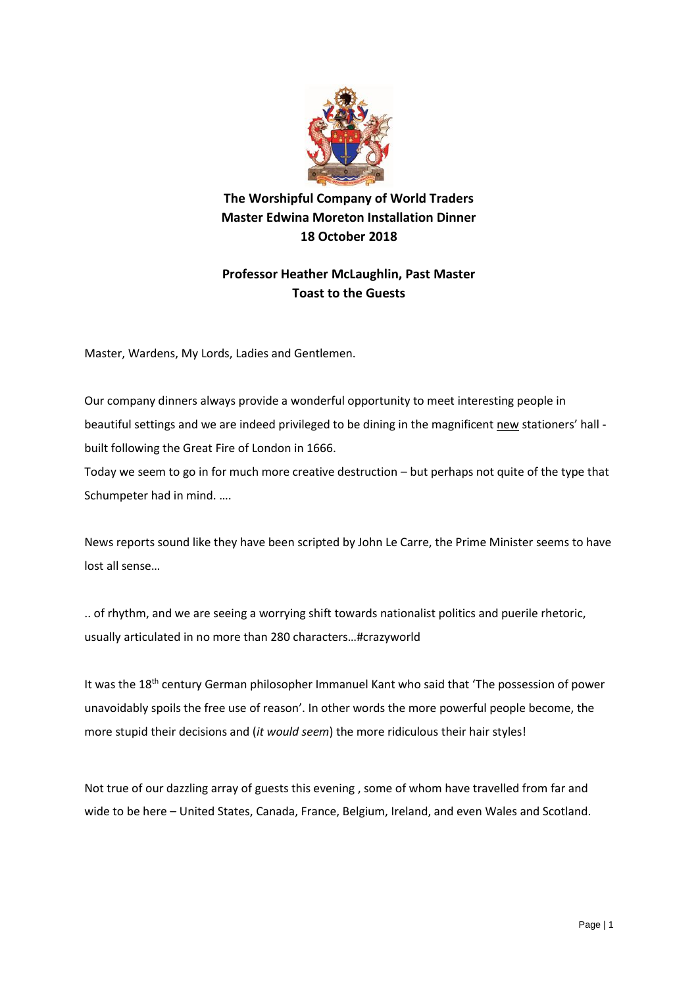

**The Worshipful Company of World Traders Master Edwina Moreton Installation Dinner 18 October 2018**

## **Professor Heather McLaughlin, Past Master Toast to the Guests**

Master, Wardens, My Lords, Ladies and Gentlemen.

Our company dinners always provide a wonderful opportunity to meet interesting people in beautiful settings and we are indeed privileged to be dining in the magnificent new stationers' hall built following the Great Fire of London in 1666.

Today we seem to go in for much more creative destruction – but perhaps not quite of the type that Schumpeter had in mind. ….

News reports sound like they have been scripted by John Le Carre, the Prime Minister seems to have lost all sense…

.. of rhythm, and we are seeing a worrying shift towards nationalist politics and puerile rhetoric, usually articulated in no more than 280 characters…#crazyworld

It was the 18<sup>th</sup> century German philosopher Immanuel Kant who said that 'The possession of power unavoidably spoils the free use of reason'. In other words the more powerful people become, the more stupid their decisions and (*it would seem*) the more ridiculous their hair styles!

Not true of our dazzling array of guests this evening , some of whom have travelled from far and wide to be here – United States, Canada, France, Belgium, Ireland, and even Wales and Scotland.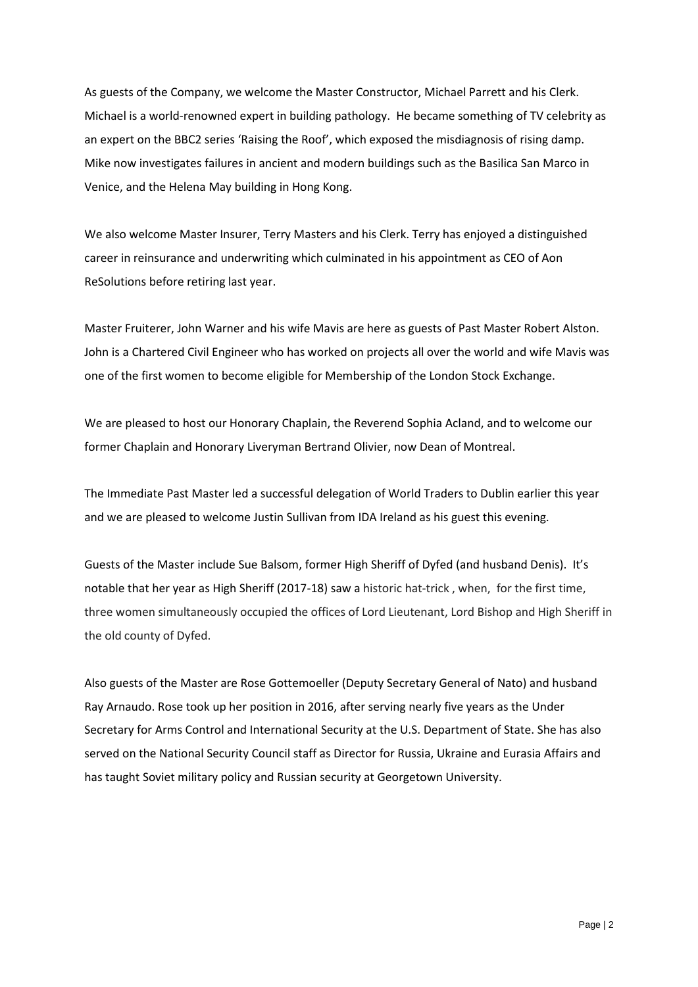As guests of the Company, we welcome the Master Constructor, Michael Parrett and his Clerk. Michael is a world-renowned expert in building pathology. He became something of TV celebrity as an expert on the BBC2 series 'Raising the Roof', which exposed the misdiagnosis of rising damp. Mike now investigates failures in ancient and modern buildings such as the Basilica San Marco in Venice, and the Helena May building in Hong Kong.

We also welcome Master Insurer, Terry Masters and his Clerk. Terry has enjoyed a distinguished career in reinsurance and underwriting which culminated in his appointment as CEO of Aon ReSolutions before retiring last year.

Master Fruiterer, John Warner and his wife Mavis are here as guests of Past Master Robert Alston. John is a Chartered Civil Engineer who has worked on projects all over the world and wife Mavis was one of the first women to become eligible for Membership of the London Stock Exchange.

We are pleased to host our Honorary Chaplain, the Reverend Sophia Acland, and to welcome our former Chaplain and Honorary Liveryman Bertrand Olivier, now Dean of Montreal.

The Immediate Past Master led a successful delegation of World Traders to Dublin earlier this year and we are pleased to welcome Justin Sullivan from IDA Ireland as his guest this evening.

Guests of the Master include Sue Balsom, former High Sheriff of Dyfed (and husband Denis). It's notable that her year as High Sheriff (2017-18) saw a historic hat-trick , when, for the first time, three women simultaneously occupied the offices of Lord Lieutenant, Lord Bishop and High Sheriff in the old county of Dyfed.

Also guests of the Master are Rose Gottemoeller (Deputy Secretary General of Nato) and husband Ray Arnaudo. Rose took up her position in 2016, after serving nearly five years as the Under Secretary for Arms Control and International Security at the U.S. Department of State. She has also served on the National Security Council staff as Director for Russia, Ukraine and Eurasia Affairs and has taught Soviet military policy and Russian security at Georgetown University.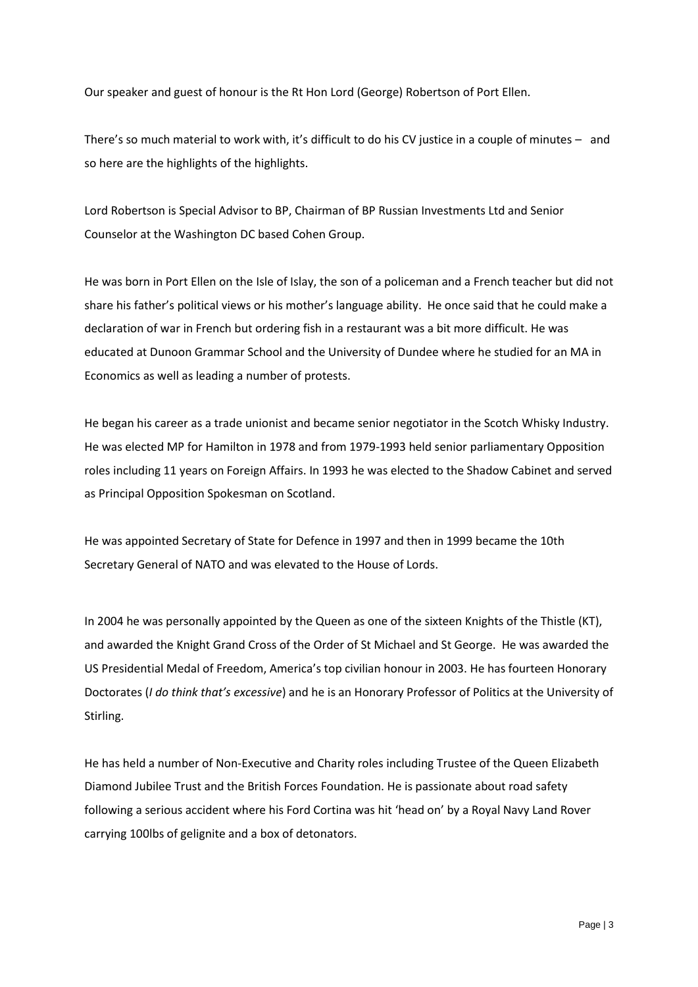Our speaker and guest of honour is the Rt Hon Lord (George) Robertson of Port Ellen.

There's so much material to work with, it's difficult to do his CV justice in a couple of minutes – and so here are the highlights of the highlights.

Lord Robertson is Special Advisor to BP, Chairman of BP Russian Investments Ltd and Senior Counselor at the Washington DC based Cohen Group.

He was born in Port Ellen on the Isle of Islay, the son of a policeman and a French teacher but did not share his father's political views or his mother's language ability. He once said that he could make a declaration of war in French but ordering fish in a restaurant was a bit more difficult. He was educated at Dunoon Grammar School and the University of Dundee where he studied for an MA in Economics as well as leading a number of protests.

He began his career as a trade unionist and became senior negotiator in the Scotch Whisky Industry. He was elected MP for Hamilton in 1978 and from 1979-1993 held senior parliamentary Opposition roles including 11 years on Foreign Affairs. In 1993 he was elected to the Shadow Cabinet and served as Principal Opposition Spokesman on Scotland.

He was appointed Secretary of State for Defence in 1997 and then in 1999 became the 10th Secretary General of NATO and was elevated to the House of Lords.

In 2004 he was personally appointed by the Queen as one of the sixteen Knights of the Thistle (KT), and awarded the Knight Grand Cross of the Order of St Michael and St George. He was awarded the US Presidential Medal of Freedom, America's top civilian honour in 2003. He has fourteen Honorary Doctorates (*I do think that's excessive*) and he is an Honorary Professor of Politics at the University of Stirling.

He has held a number of Non-Executive and Charity roles including Trustee of the Queen Elizabeth Diamond Jubilee Trust and the British Forces Foundation. He is passionate about road safety following a serious accident where his Ford Cortina was hit 'head on' by a Royal Navy Land Rover carrying 100lbs of gelignite and a box of detonators.